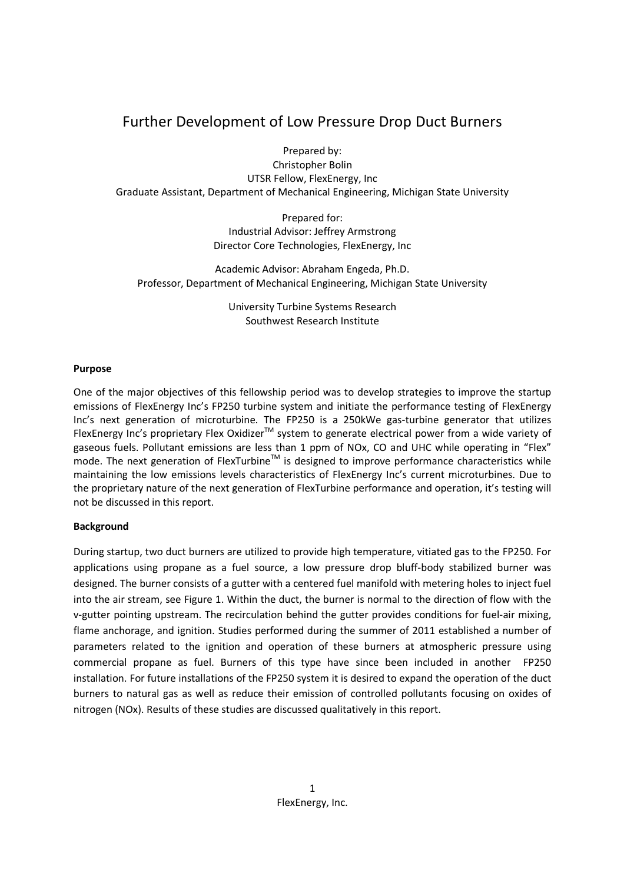# Further Development of Low Pressure Drop Duct Burners

Prepared by:

Christopher Bolin UTSR Fellow, FlexEnergy, Inc Graduate Assistant, Department of Mechanical Engineering, Michigan State University

> Prepared for: Industrial Advisor: Jeffrey Armstrong Director Core Technologies, FlexEnergy, Inc

Academic Advisor: Abraham Engeda, Ph.D. Professor, Department of Mechanical Engineering, Michigan State University

> University Turbine Systems Research Southwest Research Institute

#### **Purpose**

One of the major objectives of this fellowship period was to develop strategies to improve the startup emissions of FlexEnergy Inc's FP250 turbine system and initiate the performance testing of FlexEnergy Inc's next generation of microturbine. The FP250 is a 250kWe gas-turbine generator that utilizes FlexEnergy Inc's proprietary Flex Oxidizer<sup>™</sup> system to generate electrical power from a wide variety of gaseous fuels. Pollutant emissions are less than 1 ppm of NOx, CO and UHC while operating in "Flex" mode. The next generation of FlexTurbine<sup>™</sup> is designed to improve performance characteristics while maintaining the low emissions levels characteristics of FlexEnergy Inc's current microturbines. Due to the proprietary nature of the next generation of FlexTurbine performance and operation, it's testing will not be discussed in this report.

## **Background**

During startup, two duct burners are utilized to provide high temperature, vitiated gas to the FP250. For applications using propane as a fuel source, a low pressure drop bluff-body stabilized burner was designed. The burner consists of a gutter with a centered fuel manifold with metering holes to inject fuel into the air stream, see Figure 1. Within the duct, the burner is normal to the direction of flow with the v-gutter pointing upstream. The recirculation behind the gutter provides conditions for fuel-air mixing, flame anchorage, and ignition. Studies performed during the summer of 2011 established a number of parameters related to the ignition and operation of these burners at atmospheric pressure using commercial propane as fuel. Burners of this type have since been included in another FP250 installation. For future installations of the FP250 system it is desired to expand the operation of the duct burners to natural gas as well as reduce their emission of controlled pollutants focusing on oxides of nitrogen (NOx). Results of these studies are discussed qualitatively in this report.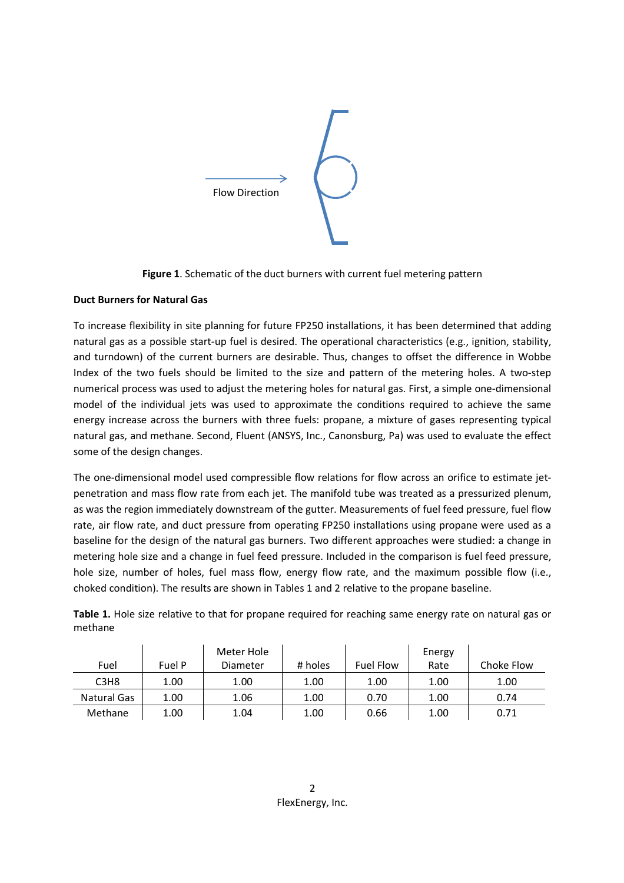

**Figure 1**. Schematic of the duct burners with current fuel metering pattern

## **Duct Burners for Natural Gas**

To increase flexibility in site planning for future FP250 installations, it has been determined that adding natural gas as a possible start-up fuel is desired. The operational characteristics (e.g., ignition, stability, and turndown) of the current burners are desirable. Thus, changes to offset the difference in Wobbe Index of the two fuels should be limited to the size and pattern of the metering holes. A two-step numerical process was used to adjust the metering holes for natural gas. First, a simple one-dimensional model of the individual jets was used to approximate the conditions required to achieve the same energy increase across the burners with three fuels: propane, a mixture of gases representing typical natural gas, and methane. Second, Fluent (ANSYS, Inc., Canonsburg, Pa) was used to evaluate the effect some of the design changes.

The one-dimensional model used compressible flow relations for flow across an orifice to estimate jetpenetration and mass flow rate from each jet. The manifold tube was treated as a pressurized plenum, as was the region immediately downstream of the gutter. Measurements of fuel feed pressure, fuel flow rate, air flow rate, and duct pressure from operating FP250 installations using propane were used as a baseline for the design of the natural gas burners. Two different approaches were studied: a change in metering hole size and a change in fuel feed pressure. Included in the comparison is fuel feed pressure, hole size, number of holes, fuel mass flow, energy flow rate, and the maximum possible flow (i.e., choked condition). The results are shown in Tables 1 and 2 relative to the propane baseline.

| Table 1. Hole size relative to that for propane required for reaching same energy rate on natural gas or |  |
|----------------------------------------------------------------------------------------------------------|--|
| methane                                                                                                  |  |

| Fuel                          | Fuel P | Meter Hole<br>Diameter | # holes | <b>Fuel Flow</b> | Energy<br>Rate | Choke Flow |
|-------------------------------|--------|------------------------|---------|------------------|----------------|------------|
| C <sub>3</sub> H <sub>8</sub> | 1.00   | 1.00                   | 1.00    | 1.00             | 1.00           | 1.00       |
| Natural Gas                   | 1.00   | 1.06                   | 1.00    | 0.70             | 1.00           | 0.74       |
| Methane                       | 1.00   | 1.04                   | 1.00    | 0.66             | 1.00           | 0.71       |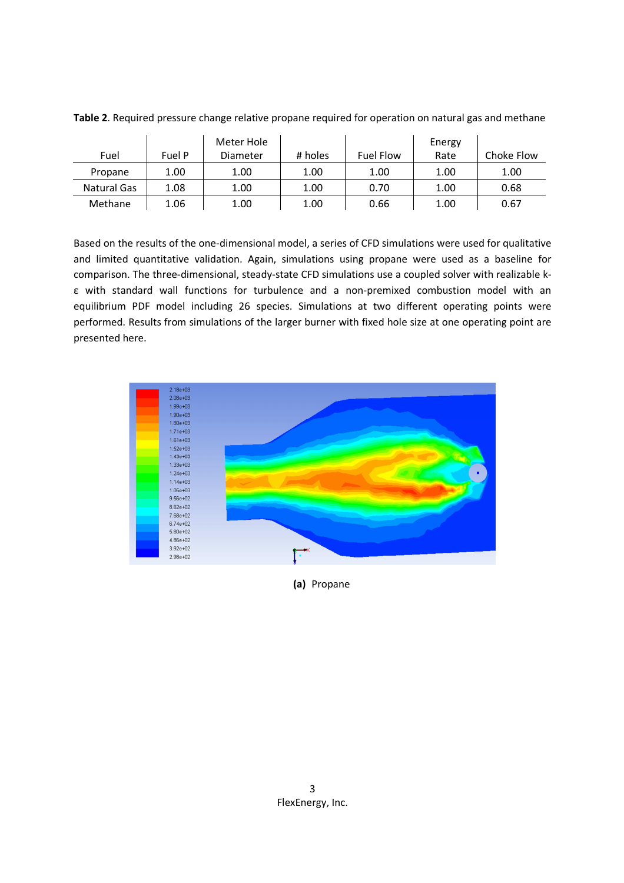|             |        | Meter Hole |         |           | Energy |            |
|-------------|--------|------------|---------|-----------|--------|------------|
| Fuel        | Fuel P | Diameter   | # holes | Fuel Flow | Rate   | Choke Flow |
| Propane     | 1.00   | 1.00       | 1.00    | 1.00      | 1.00   | 1.00       |
| Natural Gas | 1.08   | 1.00       | 1.00    | 0.70      | 1.00   | 0.68       |
| Methane     | 1.06   | 1.00       | 1.00    | 0.66      | 1.00   | 0.67       |

**Table 2**. Required pressure change relative propane required for operation on natural gas and methane

Based on the results of the one-dimensional model, a series of CFD simulations were used for qualitative and limited quantitative validation. Again, simulations using propane were used as a baseline for comparison. The three-dimensional, steady-state CFD simulations use a coupled solver with realizable kε with standard wall functions for turbulence and a non-premixed combustion model with an equilibrium PDF model including 26 species. Simulations at two different operating points were performed. Results from simulations of the larger burner with fixed hole size at one operating point are presented here.



**(a)** Propane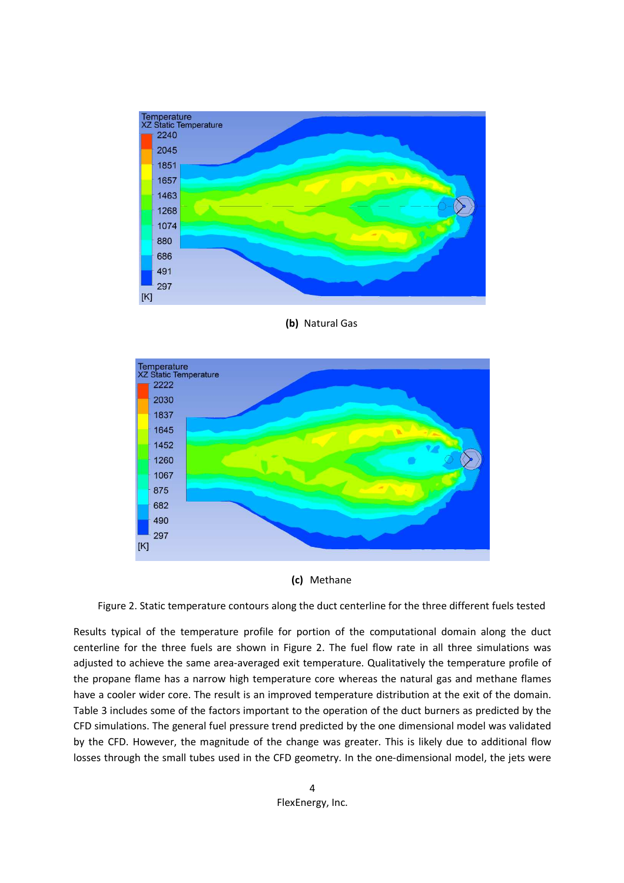

**(b)** Natural Gas





Figure 2. Static temperature contours along the duct centerline for the three different fuels tested

Results typical of the temperature profile for portion of the computational domain along the duct centerline for the three fuels are shown in Figure 2. The fuel flow rate in all three simulations was adjusted to achieve the same area-averaged exit temperature. Qualitatively the temperature profile of the propane flame has a narrow high temperature core whereas the natural gas and methane flames have a cooler wider core. The result is an improved temperature distribution at the exit of the domain. Table 3 includes some of the factors important to the operation of the duct burners as predicted by the CFD simulations. The general fuel pressure trend predicted by the one dimensional model was validated by the CFD. However, the magnitude of the change was greater. This is likely due to additional flow losses through the small tubes used in the CFD geometry. In the one-dimensional model, the jets were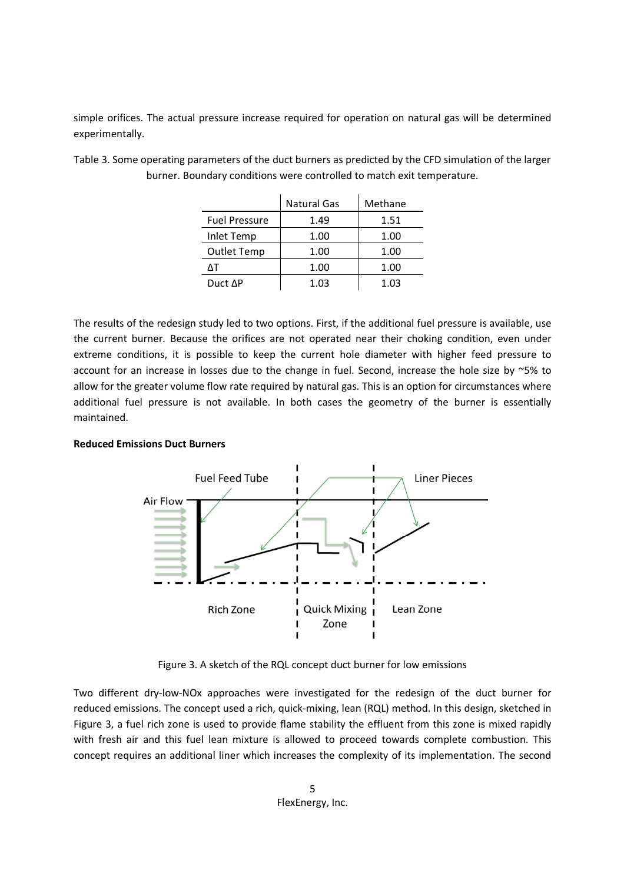simple orifices. The actual pressure increase required for operation on natural gas will be determined experimentally.

|                      | <b>Natural Gas</b> | Methane |
|----------------------|--------------------|---------|
| <b>Fuel Pressure</b> | 1.49               | 1.51    |
| Inlet Temp           | 1.00               | 1.00    |
| <b>Outlet Temp</b>   | 1.00               | 1.00    |
| ۸т                   | 1.00               | 1.00    |
| Duct AP              | 1.03               | 1.03    |

Table 3. Some operating parameters of the duct burners as predicted by the CFD simulation of the larger burner. Boundary conditions were controlled to match exit temperature.

The results of the redesign study led to two options. First, if the additional fuel pressure is available, use the current burner. Because the orifices are not operated near their choking condition, even under extreme conditions, it is possible to keep the current hole diameter with higher feed pressure to account for an increase in losses due to the change in fuel. Second, increase the hole size by ~5% to allow for the greater volume flow rate required by natural gas. This is an option for circumstances where additional fuel pressure is not available. In both cases the geometry of the burner is essentially maintained.

#### **Reduced Emissions Duct Burners**



Figure 3. A sketch of the RQL concept duct burner for low emissions

Two different dry-low-NOx approaches were investigated for the redesign of the duct burner for reduced emissions. The concept used a rich, quick-mixing, lean (RQL) method. In this design, sketched in Figure 3, a fuel rich zone is used to provide flame stability the effluent from this zone is mixed rapidly with fresh air and this fuel lean mixture is allowed to proceed towards complete combustion. This concept requires an additional liner which increases the complexity of its implementation. The second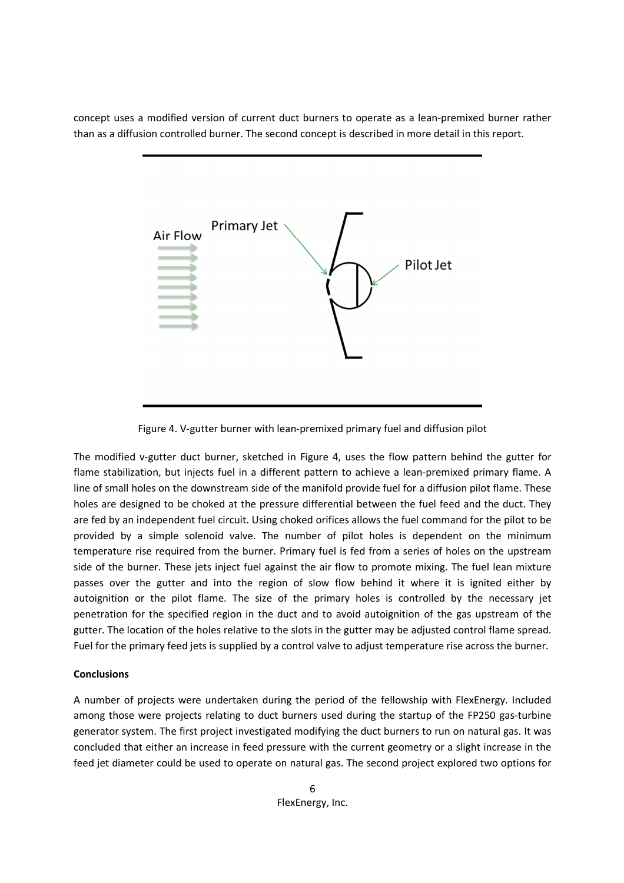concept uses a modified version of current duct burners to operate as a lean-premixed burner rather than as a diffusion controlled burner. The second concept is described in more detail in this report.



Figure 4. V-gutter burner with lean-premixed primary fuel and diffusion pilot

The modified v-gutter duct burner, sketched in Figure 4, uses the flow pattern behind the gutter for flame stabilization, but injects fuel in a different pattern to achieve a lean-premixed primary flame. A line of small holes on the downstream side of the manifold provide fuel for a diffusion pilot flame. These holes are designed to be choked at the pressure differential between the fuel feed and the duct. They are fed by an independent fuel circuit. Using choked orifices allows the fuel command for the pilot to be provided by a simple solenoid valve. The number of pilot holes is dependent on the minimum temperature rise required from the burner. Primary fuel is fed from a series of holes on the upstream side of the burner. These jets inject fuel against the air flow to promote mixing. The fuel lean mixture passes over the gutter and into the region of slow flow behind it where it is ignited either by autoignition or the pilot flame. The size of the primary holes is controlled by the necessary jet penetration for the specified region in the duct and to avoid autoignition of the gas upstream of the gutter. The location of the holes relative to the slots in the gutter may be adjusted control flame spread. Fuel for the primary feed jets is supplied by a control valve to adjust temperature rise across the burner.

## **Conclusions**

A number of projects were undertaken during the period of the fellowship with FlexEnergy. Included among those were projects relating to duct burners used during the startup of the FP250 gas-turbine generator system. The first project investigated modifying the duct burners to run on natural gas. It was concluded that either an increase in feed pressure with the current geometry or a slight increase in the feed jet diameter could be used to operate on natural gas. The second project explored two options for